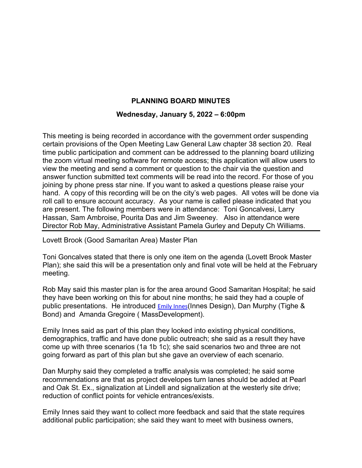## **PLANNING BOARD MINUTES**

## **Wednesday, January 5, 2022 – 6:00pm**

This meeting is being recorded in accordance with the government order suspending certain provisions of the Open Meeting Law General Law chapter 38 section 20. Real time public participation and comment can be addressed to the planning board utilizing the zoom virtual meeting software for remote access; this application will allow users to view the meeting and send a comment or question to the chair via the question and answer function submitted text comments will be read into the record. For those of you joining by phone press star nine. If you want to asked a questions please raise your hand. A copy of this recording will be on the city's web pages. All votes will be done via roll call to ensure account accuracy. As your name is called please indicated that you are present. The following members were in attendance: Toni Goncalvesi, Larry Hassan, Sam Ambroise, Pourita Das and Jim Sweeney. Also in attendance were Director Rob May, Administrative Assistant Pamela Gurley and Deputy Ch Williams.

Lovett Brook (Good Samaritan Area) Master Plan

Toni Goncalves stated that there is only one item on the agenda (Lovett Brook Master Plan); she said this will be a presentation only and final vote will be held at the February meeting.

Rob May said this master plan is for the area around Good Samaritan Hospital; he said they have been working on this for about nine months; he said they had a couple of public presentations. He introduced Emily Innes(Innes Design), Dan Murphy (Tighe & Bond) and Amanda Gregoire ( MassDevelopment).

Emily Innes said as part of this plan they looked into existing physical conditions, demographics, traffic and have done public outreach; she said as a result they have come up with three scenarios (1a 1b 1c); she said scenarios two and three are not going forward as part of this plan but she gave an overview of each scenario.

Dan Murphy said they completed a traffic analysis was completed; he said some recommendations are that as project developes turn lanes should be added at Pearl and Oak St. Ex., signalization at Lindell and signalization at the westerly site drive; reduction of conflict points for vehicle entrances/exists.

Emily Innes said they want to collect more feedback and said that the state requires additional public participation; she said they want to meet with business owners,